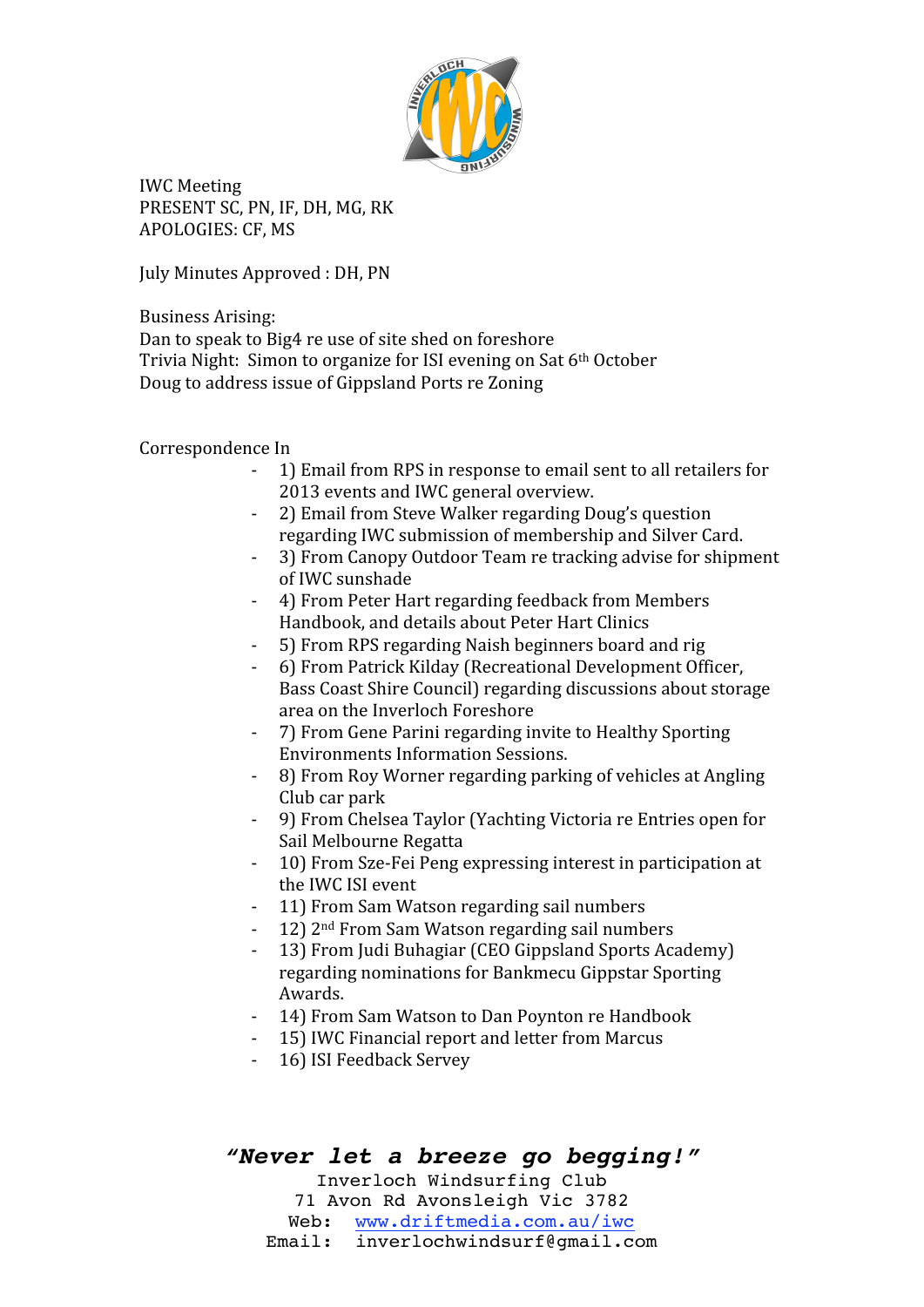

IWC
Meeting PRESENT SC, PN, IF, DH, MG, RK APOLOGIES:
CF,
MS

July Minutes Approved: DH, PN

### Business
Arising:

Dan
to
speak
to
Big4
re
use
of
site
shed
on
foreshore Trivia Night: Simon to organize for ISI evening on Sat 6<sup>th</sup> October Doug
to
address
issue
of
Gippsland
Ports
re
Zoning

### Correspondence
In

- ‐ 1)
Email
from
RPS
in
response
to
email
sent
to
all
retailers
for 2013
events
and
IWC
general
overview.
- ‐ 2)
Email
from
Steve
Walker
regarding
Doug's
question regarding
IWC
submission
of
membership
and
Silver
Card.
- ‐ 3)
From
Canopy
Outdoor
Team
re
tracking
advise
for
shipment of
IWC
sunshade
- ‐ 4)
From
Peter
Hart
regarding
feedback
from
Members Handbook,
and
details
about
Peter
Hart
Clinics
- ‐ 5)
From
RPS
regarding
Naish
beginners
board
and
rig
- ‐ 6)
From
Patrick
Kilday
(Recreational
Development
Officer, Bass
Coast
Shire
Council)
regarding
discussions
about
storage area
on
the
Inverloch
Foreshore
- ‐ 7)
From
Gene
Parini
regarding
invite
to
Healthy
Sporting Environments
Information
Sessions.
- ‐ 8)
From
Roy
Worner
regarding
parking
of
vehicles
at
Angling Club
car
park
- ‐ 9)
From
Chelsea
Taylor
(Yachting
Victoria
re
Entries
open
for Sail
Melbourne
Regatta
- ‐ 10)
From
Sze‐Fei
Peng
expressing
interest
in
participation
at the
IWC
ISI
event
- ‐ 11)
From
Sam
Watson
regarding
sail
numbers
- ‐ 12)
2nd
From
Sam
Watson
regarding
sail
numbers
- ‐ 13)
From
Judi
Buhagiar
(CEO
Gippsland
Sports
Academy) regarding
nominations
for
Bankmecu
Gippstar
Sporting Awards.
- ‐ 14)
From
Sam
Watson
to
Dan
Poynton
re
Handbook
- ‐ 15)
IWC
Financial
report
and
letter
from
Marcus
- ‐ 16)
ISI
Feedback
Servey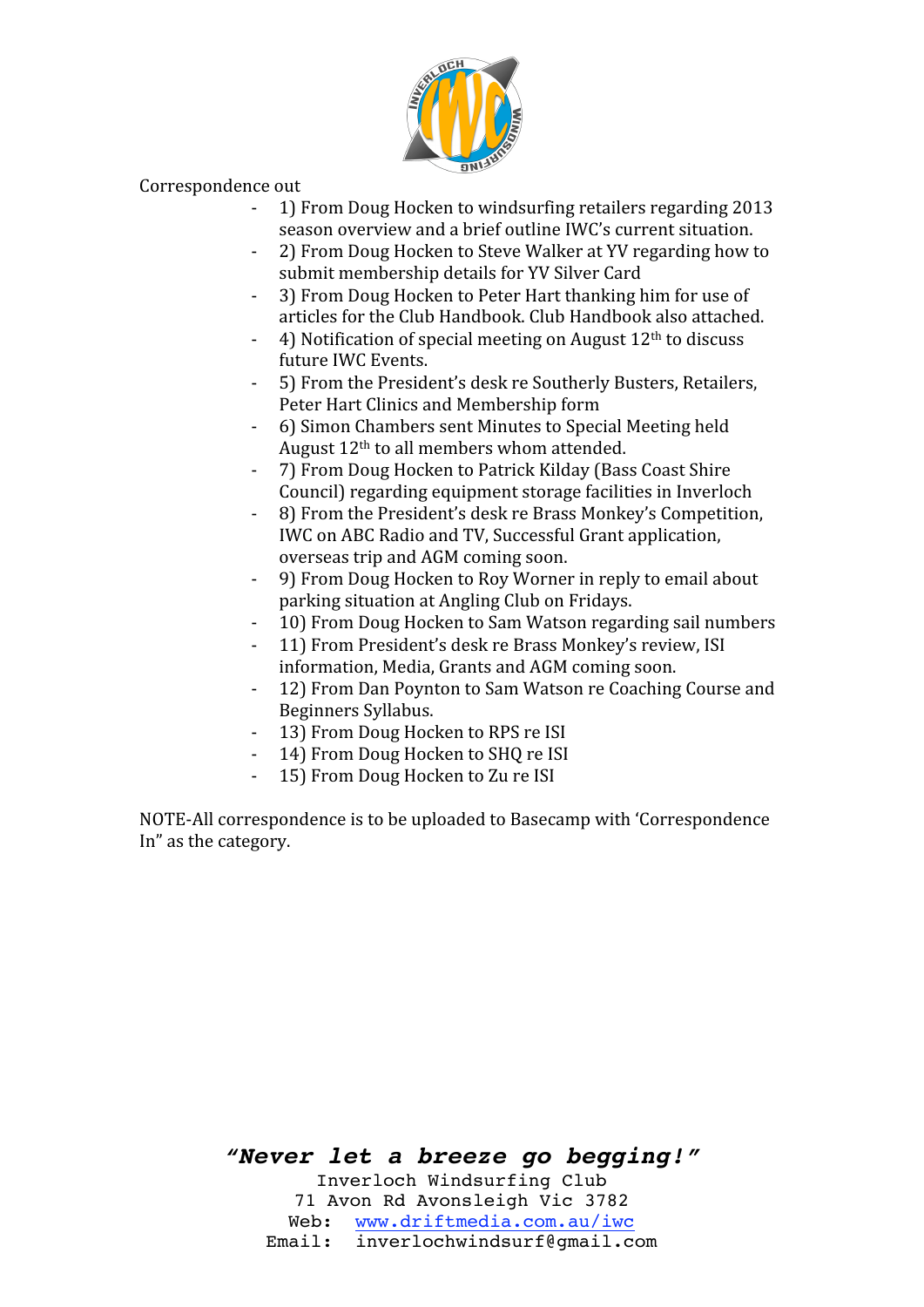

Correspondence
out

- ‐ 1)
From
Doug
Hocken
to
windsurfing
retailers
regarding
2013 season
overview
and
a
brief
outline
IWC's
current
situation.
- ‐ 2)
From
Doug
Hocken
to
Steve
Walker
at
YV
regarding
how
to submit
membership
details
for
YV
Silver
Card
- 3) From Doug Hocken to Peter Hart thanking him for use of articles
for
the
Club
Handbook.
Club
Handbook
also
attached.
- 4) Notification of special meeting on August  $12<sup>th</sup>$  to discuss future
IWC
Events.
- ‐ 5)
From
the
President's
desk
re
Southerly
Busters,
Retailers, Peter
Hart
Clinics
and
Membership
form
- ‐ 6)
Simon
Chambers
sent
Minutes
to
Special
Meeting
held August
12th
to
all
members
whom
attended.
- ‐ 7)
From
Doug
Hocken
to
Patrick
Kilday
(Bass
Coast
Shire Council)
regarding
equipment
storage
facilities
in
Inverloch
- ‐ 8)
From
the
President's
desk
re
Brass
Monkey's
Competition, IWC
on
ABC
Radio
and
TV,
Successful
Grant
application, overseas
trip
and
AGM
coming
soon.
- ‐ 9)
From
Doug
Hocken
to
Roy
Worner
in
reply
to
email
about parking
situation
at
Angling
Club
on
Fridays.
- ‐ 10)
From
Doug
Hocken
to
Sam
Watson
regarding
sail
numbers
- ‐ 11)
From
President's
desk
re
Brass
Monkey's
review,
ISI information,
Media,
Grants
and
AGM
coming
soon.
- ‐ 12)
From
Dan
Poynton
to
Sam
Watson
re
Coaching
Course
and Beginners
Syllabus.
- 13) From Doug Hocken to RPS re ISI
- 14) From Doug Hocken to SHO re ISI
- 15) From Doug Hocken to Zu re ISI

NOTE‐All
correspondence
is
to
be
uploaded
to
Basecamp
with
'Correspondence In"
as
the
category.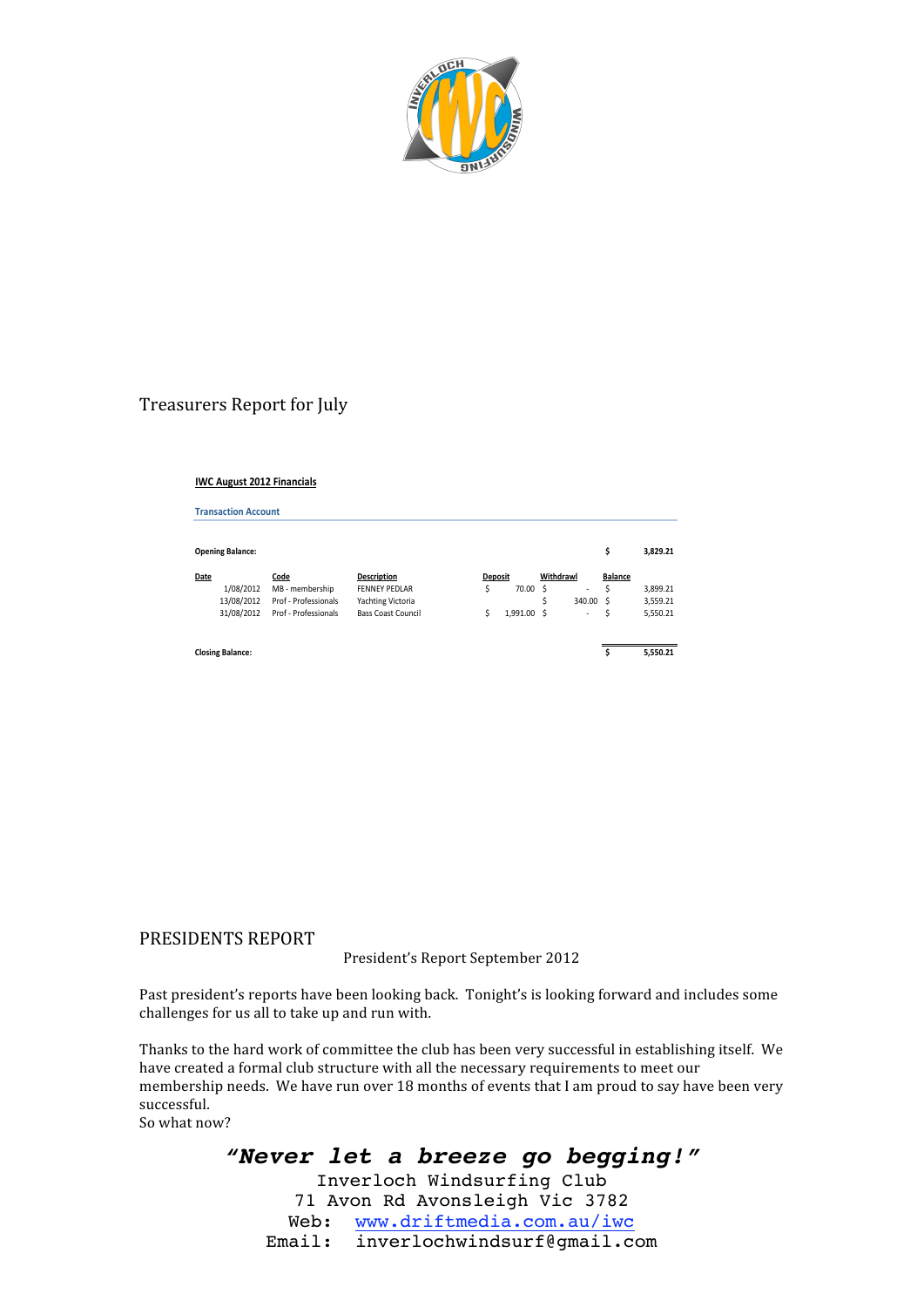

### Treasurers
Report
for
July

#### **IWC August 2012 Financials**

**Transaction Account** 

| <b>Opening Balance:</b>                       |  |                                                                         |                                                                                              |  |                |                           |   |                               | s                                | 3.829.21                         |
|-----------------------------------------------|--|-------------------------------------------------------------------------|----------------------------------------------------------------------------------------------|--|----------------|---------------------------|---|-------------------------------|----------------------------------|----------------------------------|
| Date<br>1/08/2012<br>13/08/2012<br>31/08/2012 |  | Code<br>MB - membership<br>Prof - Professionals<br>Prof - Professionals | <b>Description</b><br><b>FFNNFY PFDLAR</b><br>Yachting Victoria<br><b>Bass Coast Council</b> |  | <b>Deposit</b> | 70.00 \$<br>$1.991.00$ \$ | Ś | Withdrawl<br>٠<br>340.00<br>٠ | <b>Balance</b><br>Ś<br>- S<br>\$ | 3,899.21<br>3,559.21<br>5,550.21 |
| <b>Closing Balance:</b>                       |  |                                                                         |                                                                                              |  |                |                           |   |                               |                                  | 5,550.21                         |

### PRESIDENTS
REPORT

President's
Report
September
2012

Past president's reports have been looking back. Tonight's is looking forward and includes some challenges
for
us
all
to
take
up
and
run
with.

Thanks to the hard work of committee the club has been very successful in establishing itself. We have created a formal club structure with all the necessary requirements to meet our membership needs. We have run over 18 months of events that I am proud to say have been very successful. So
what
now?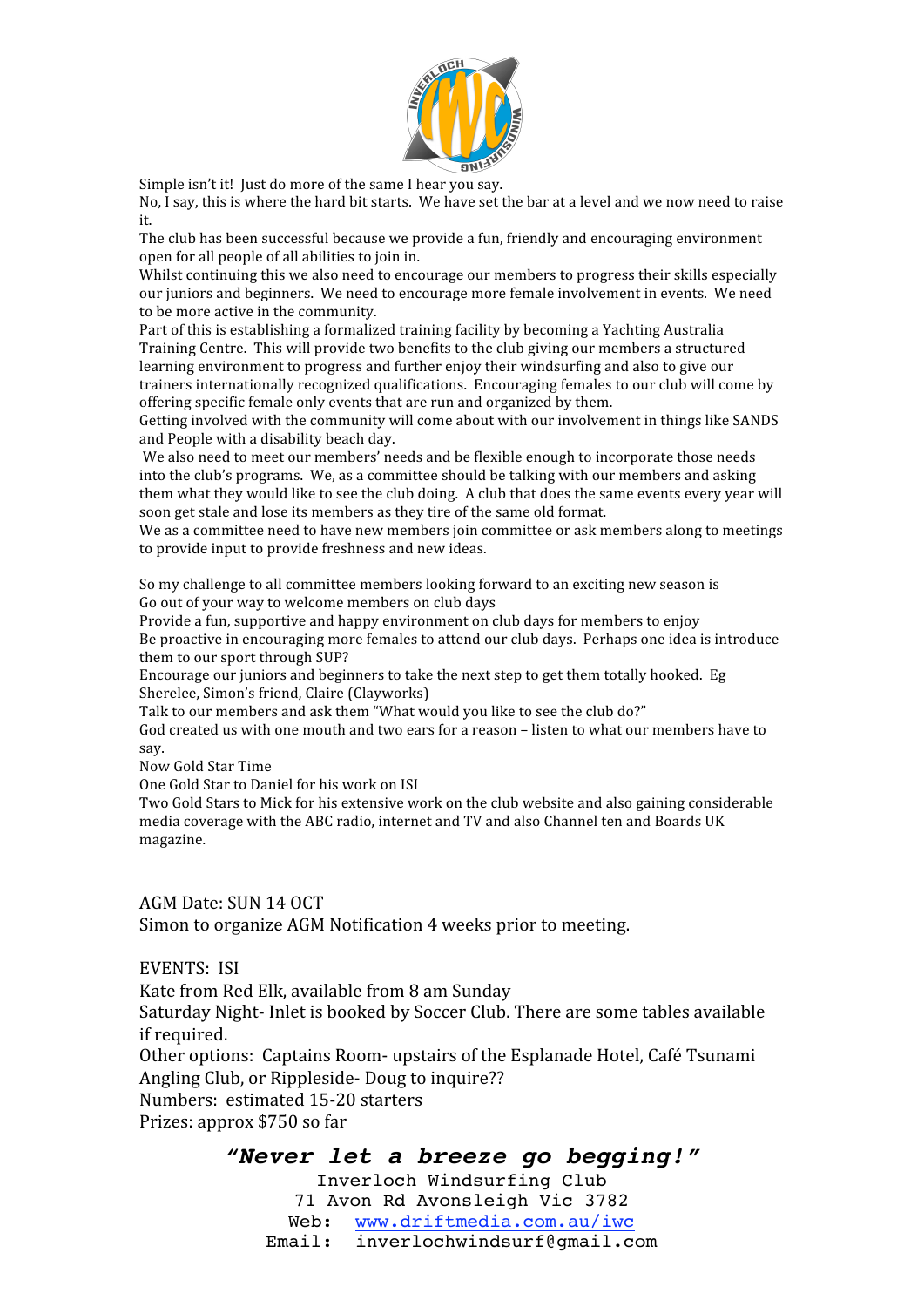

Simple isn't it! Just do more of the same I hear you say.

No, I say, this is where the hard bit starts. We have set the bar at a level and we now need to raise it.

The
club
has
been
successful
because
we
provide
a
fun,
friendly
and
encouraging
environment open
for
all
people
of
all
abilities
to
join
in.

Whilst continuing this we also need to encourage our members to progress their skills especially our juniors and beginners. We need to encourage more female involvement in events. We need to
be
more
active
in
the
community.

Part of this is establishing a formalized training facility by becoming a Yachting Australia Training Centre. This will provide two benefits to the club giving our members a structured learning environment to progress and further enjoy their windsurfing and also to give our trainers internationally recognized qualifications. Encouraging females to our club will come by offering
specific
female
only
events
that
are
run
and
organized
by
them.

Getting involved with the community will come about with our involvement in things like SANDS and
People
with
a
disability
beach
day.

We also need to meet our members' needs and be flexible enough to incorporate those needs into
the
club's
programs.

We,
as
a
committee
should
be
talking
with
our
members
and
asking them what they would like to see the club doing. A club that does the same events every year will soon
get
stale
and
lose
its
members
as
they
tire
of
the
same
old
format.

We as a committee need to have new members join committee or ask members along to meetings to
provide
input
to
provide
freshness
and
new
ideas.

So
my
challenge
to
all
committee
members
looking
forward
to
an
exciting
new
season
is Go out of your way to welcome members on club days

Provide a fun, supportive and happy environment on club days for members to enjoy Be proactive in encouraging more females to attend our club days. Perhaps one idea is introduce them to our sport through SUP?

Encourage our juniors and beginners to take the next step to get them totally hooked. Eg Sherelee,
Simon's
friend,
Claire (Clayworks)

Talk to our members and ask them "What would you like to see the club do?"

God created us with one mouth and two ears for a reason - listen to what our members have to say.

Now
Gold
Star
Time

One
Gold
Star
to
Daniel
for
his
work
on
ISI

Two
Gold
Stars
to
Mick
for
his
extensive
work
on
the
club
website
and
also
gaining
considerable media
coverage
with
the
ABC
radio,
internet
and
TV
and
also
Channel
ten
and
Boards
UK magazine.

### AGM
Date:
SUN
14
OCT

Simon
to
organize
AGM
Notification
4
weeks
prior
to
meeting.

#### EVENTS:

ISI

Kate
from
Red
Elk,
available
from
8
am
Sunday

Saturday
Night‐
Inlet
is
booked
by
Soccer
Club.
There
are
some
tables
available if
required.

Other options: Captains Room- upstairs of the Esplanade Hotel, Café Tsunami Angling
Club,
or
Rippleside‐
Doug
to
inquire??

Numbers:

estimated
15‐20
starters

Prizes:
approx
\$750
so
far

## *"Never let a breeze go begging!"*

Inverloch Windsurfing Club 71 Avon Rd Avonsleigh Vic 3782 Web: www.driftmedia.com.au/iwc Email: inverlochwindsurf@gmail.com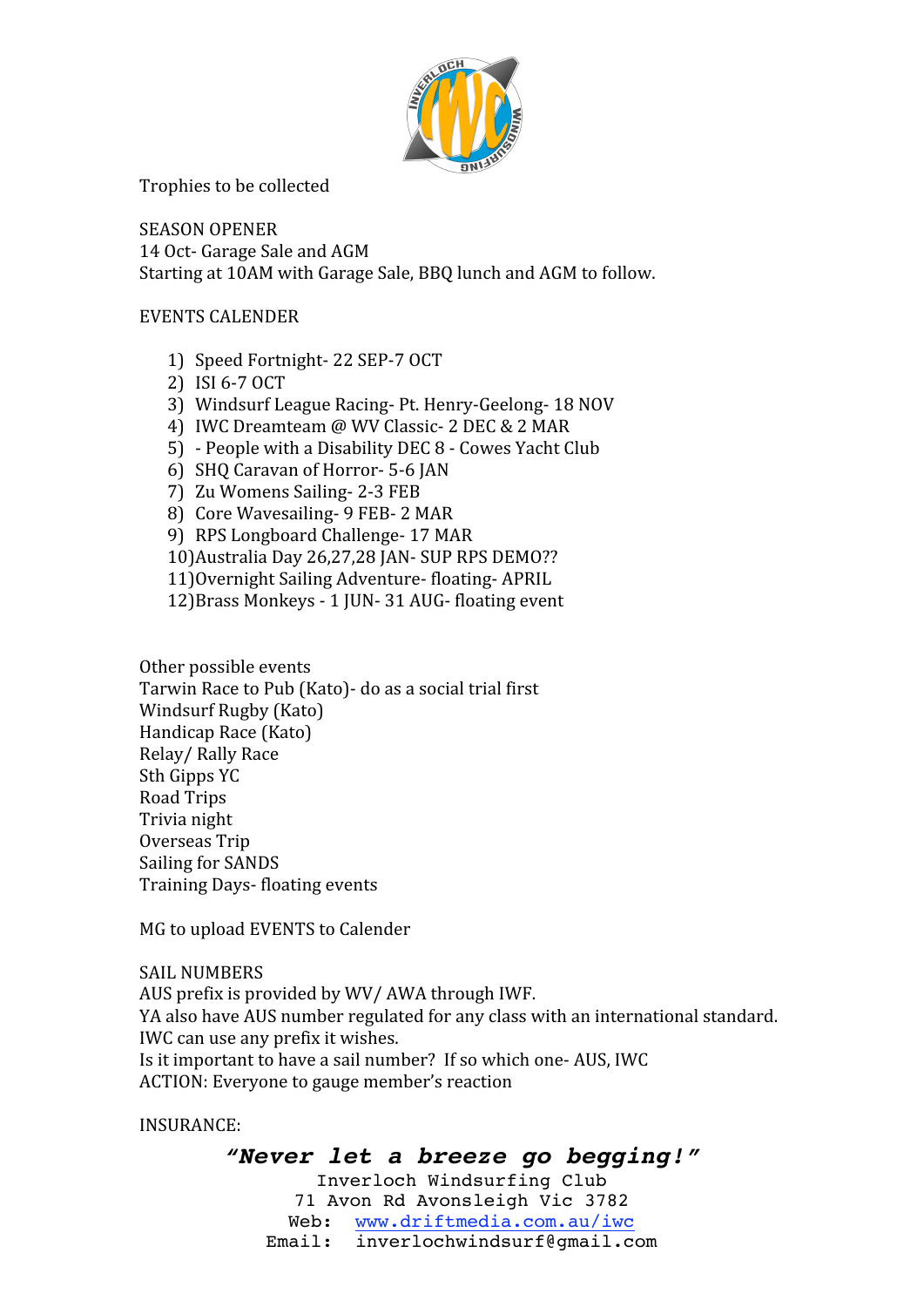

Trophies
to
be
collected

SEASON
OPENER 14 Oct- Garage Sale and AGM Starting
at
10AM
with
Garage
Sale,
BBQ
lunch
and
AGM
to
follow.

EVENTS
CALENDER

- 1) Speed
Fortnight‐
22
SEP‐7
OCT
- 2) ISI
6‐7
OCT
- 3) Windsurf
League
Racing‐
Pt.
Henry‐Geelong‐
18
NOV
- 4) IWC Dreamteam @ WV Classic- 2 DEC & 2 MAR
- 5) ‐
People
with
a
Disability DEC
8 ‐
Cowes
Yacht
Club
- 6) SHQ
Caravan
of
Horror‐
5‐6
JAN
- 7) Zu
Womens
Sailing‐
2‐3
FEB
- 8) Core
Wavesailing‐
9
FEB‐
2
MAR
- 9) RPS
Longboard
Challenge‐
17
MAR
- 10) Australia Day 26,27,28 JAN- SUP RPS DEMO??
- 11)Overnight
Sailing
Adventure‐
floating‐
APRIL
- 12)Brass
Monkeys ‐
1
JUN‐
31
AUG‐
floating
event

Other
possible
events Tarwin
Race
to
Pub
(Kato)‐
do
as
a
social
trial
first Windsurf
Rugby
(Kato) Handicap
Race
(Kato) Relay/
Rally
Race Sth
Gipps
YC Road
Trips Trivia
night Overseas
Trip Sailing
for
SANDS Training
Days‐
floating
events

MG
to
upload
EVENTS
to
Calender

SAIL
NUMBERS

AUS
prefix
is
provided
by
WV/
AWA
through
IWF. YA
also
have
AUS
number
regulated
for
any
class
with
an
international
standard. IWC
can
use
any
prefix
it
wishes. Is it important to have a sail number? If so which one-AUS, IWC ACTION:
Everyone
to
gauge
member's
reaction

INSURANCE: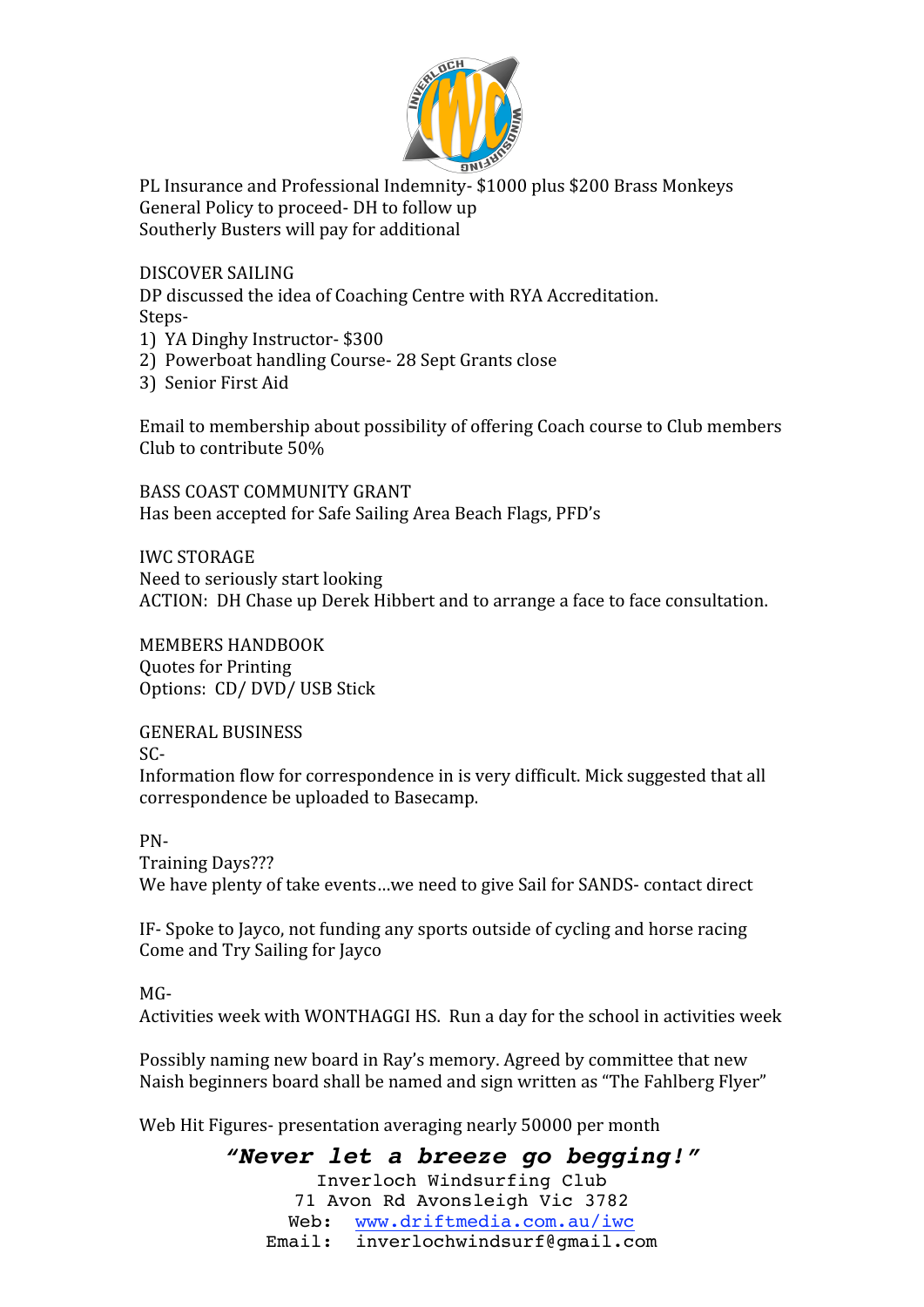

PL Insurance and Professional Indemnity- \$1000 plus \$200 Brass Monkeys General
Policy
to
proceed‐
DH
to
follow
up Southerly
Busters
will
pay
for
additional

DISCOVER
SAILING

DP
discussed
the
idea
of
Coaching
Centre
with
RYA
Accreditation. Steps‐

- 1)

YA
Dinghy
Instructor‐
\$300
- 2)

Powerboat
handling
Course‐
28
Sept
Grants
close
- 3)

Senior
First
Aid

Email to membership about possibility of offering Coach course to Club members Club
to
contribute
50%

BASS
COAST
COMMUNITY
GRANT Has
been
accepted
for
Safe
Sailing
Area
Beach
Flags,
PFD's

IWC
STORAGE Need
to
seriously
start
looking ACTION:

DH
Chase
up
Derek
Hibbert
and
to
arrange
a
face
to
face
consultation.

MEMBERS
HANDBOOK Quotes
for
Printing Options:

CD/
DVD/
USB
Stick

GENERAL
BUSINESS  $SC-$ Information flow for correspondence in is very difficult. Mick suggested that all correspondence
be
uploaded
to
Basecamp.

PN‐

Training
Days??? We have plenty of take events...we need to give Sail for SANDS- contact direct

IF‐
Spoke
to
Jayco,
not
funding
any
sports
outside
of
cycling
and
horse
racing Come
and
Try
Sailing
for
Jayco

 $MG -$ 

Activities
week
with
WONTHAGGI
HS.

Run
a
day
for
the
school
in
activities
week

Possibly naming new board in Ray's memory. Agreed by committee that new Naish beginners board shall be named and sign written as "The Fahlberg Flyer"

Web Hit Figures- presentation averaging nearly 50000 per month